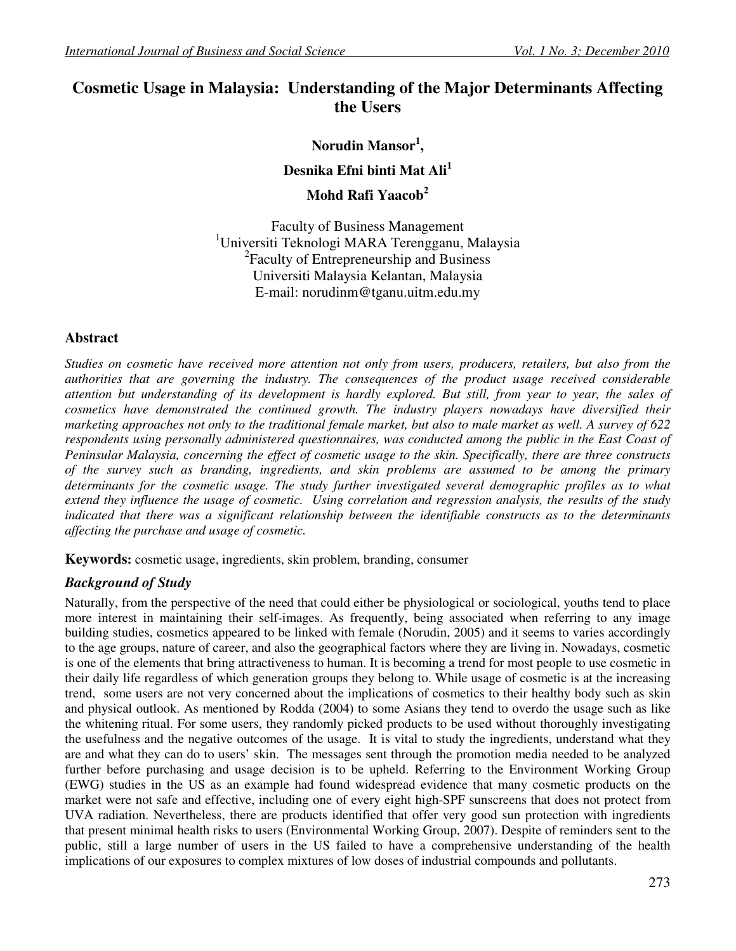# **Cosmetic Usage in Malaysia: Understanding of the Major Determinants Affecting the Users**

**Norudin Mansor<sup>1</sup> , Desnika Efni binti Mat Ali<sup>1</sup> Mohd Rafi Yaacob<sup>2</sup>**

Faculty of Business Management <sup>1</sup>Universiti Teknologi MARA Terengganu, Malaysia <sup>2</sup> Faculty of Entrepreneurship and Business Universiti Malaysia Kelantan, Malaysia E-mail: norudinm@tganu.uitm.edu.my

#### **Abstract**

*Studies on cosmetic have received more attention not only from users, producers, retailers, but also from the authorities that are governing the industry. The consequences of the product usage received considerable attention but understanding of its development is hardly explored. But still, from year to year, the sales of cosmetics have demonstrated the continued growth. The industry players nowadays have diversified their marketing approaches not only to the traditional female market, but also to male market as well. A survey of 622*  respondents using personally administered questionnaires, was conducted among the public in the East Coast of *Peninsular Malaysia, concerning the effect of cosmetic usage to the skin. Specifically, there are three constructs of the survey such as branding, ingredients, and skin problems are assumed to be among the primary determinants for the cosmetic usage. The study further investigated several demographic profiles as to what extend they influence the usage of cosmetic. Using correlation and regression analysis, the results of the study indicated that there was a significant relationship between the identifiable constructs as to the determinants affecting the purchase and usage of cosmetic.* 

**Keywords:** cosmetic usage, ingredients, skin problem, branding, consumer

# *Background of Study*

Naturally, from the perspective of the need that could either be physiological or sociological, youths tend to place more interest in maintaining their self-images. As frequently, being associated when referring to any image building studies, cosmetics appeared to be linked with female (Norudin, 2005) and it seems to varies accordingly to the age groups, nature of career, and also the geographical factors where they are living in. Nowadays, cosmetic is one of the elements that bring attractiveness to human. It is becoming a trend for most people to use cosmetic in their daily life regardless of which generation groups they belong to. While usage of cosmetic is at the increasing trend, some users are not very concerned about the implications of cosmetics to their healthy body such as skin and physical outlook. As mentioned by Rodda (2004) to some Asians they tend to overdo the usage such as like the whitening ritual. For some users, they randomly picked products to be used without thoroughly investigating the usefulness and the negative outcomes of the usage. It is vital to study the ingredients, understand what they are and what they can do to users' skin. The messages sent through the promotion media needed to be analyzed further before purchasing and usage decision is to be upheld. Referring to the Environment Working Group (EWG) studies in the US as an example had found widespread evidence that many cosmetic products on the market were not safe and effective, including one of every eight high-SPF sunscreens that does not protect from UVA radiation. Nevertheless, there are products identified that offer very good sun protection with ingredients that present minimal health risks to users (Environmental Working Group, 2007). Despite of reminders sent to the public, still a large number of users in the US failed to have a comprehensive understanding of the health implications of our exposures to complex mixtures of low doses of industrial compounds and pollutants.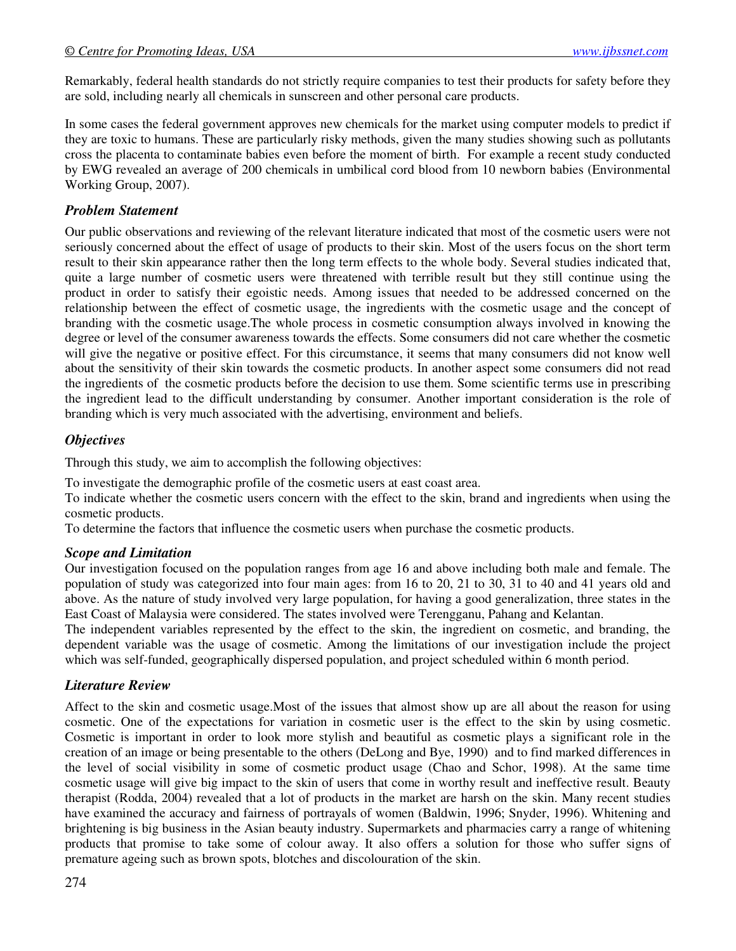Remarkably, federal health standards do not strictly require companies to test their products for safety before they are sold, including nearly all chemicals in sunscreen and other personal care products.

In some cases the federal government approves new chemicals for the market using computer models to predict if they are toxic to humans. These are particularly risky methods, given the many studies showing such as pollutants cross the placenta to contaminate babies even before the moment of birth. For example a recent study conducted by EWG revealed an average of 200 chemicals in umbilical cord blood from 10 newborn babies (Environmental Working Group, 2007).

### *Problem Statement*

Our public observations and reviewing of the relevant literature indicated that most of the cosmetic users were not seriously concerned about the effect of usage of products to their skin. Most of the users focus on the short term result to their skin appearance rather then the long term effects to the whole body. Several studies indicated that, quite a large number of cosmetic users were threatened with terrible result but they still continue using the product in order to satisfy their egoistic needs. Among issues that needed to be addressed concerned on the relationship between the effect of cosmetic usage, the ingredients with the cosmetic usage and the concept of branding with the cosmetic usage.The whole process in cosmetic consumption always involved in knowing the degree or level of the consumer awareness towards the effects. Some consumers did not care whether the cosmetic will give the negative or positive effect. For this circumstance, it seems that many consumers did not know well about the sensitivity of their skin towards the cosmetic products. In another aspect some consumers did not read the ingredients of the cosmetic products before the decision to use them. Some scientific terms use in prescribing the ingredient lead to the difficult understanding by consumer. Another important consideration is the role of branding which is very much associated with the advertising, environment and beliefs.

# *Objectives*

Through this study, we aim to accomplish the following objectives:

To investigate the demographic profile of the cosmetic users at east coast area.

To indicate whether the cosmetic users concern with the effect to the skin, brand and ingredients when using the cosmetic products.

To determine the factors that influence the cosmetic users when purchase the cosmetic products.

#### *Scope and Limitation*

Our investigation focused on the population ranges from age 16 and above including both male and female. The population of study was categorized into four main ages: from 16 to 20, 21 to 30, 31 to 40 and 41 years old and above. As the nature of study involved very large population, for having a good generalization, three states in the East Coast of Malaysia were considered. The states involved were Terengganu, Pahang and Kelantan.

The independent variables represented by the effect to the skin, the ingredient on cosmetic, and branding, the dependent variable was the usage of cosmetic. Among the limitations of our investigation include the project which was self-funded, geographically dispersed population, and project scheduled within 6 month period.

#### *Literature Review*

Affect to the skin and cosmetic usage.Most of the issues that almost show up are all about the reason for using cosmetic. One of the expectations for variation in cosmetic user is the effect to the skin by using cosmetic. Cosmetic is important in order to look more stylish and beautiful as cosmetic plays a significant role in the creation of an image or being presentable to the others (DeLong and Bye, 1990) and to find marked differences in the level of social visibility in some of cosmetic product usage (Chao and Schor, 1998). At the same time cosmetic usage will give big impact to the skin of users that come in worthy result and ineffective result. Beauty therapist (Rodda, 2004) revealed that a lot of products in the market are harsh on the skin. Many recent studies have examined the accuracy and fairness of portrayals of women (Baldwin, 1996; Snyder, 1996). Whitening and brightening is big business in the Asian beauty industry. Supermarkets and pharmacies carry a range of whitening products that promise to take some of colour away. It also offers a solution for those who suffer signs of premature ageing such as brown spots, blotches and discolouration of the skin.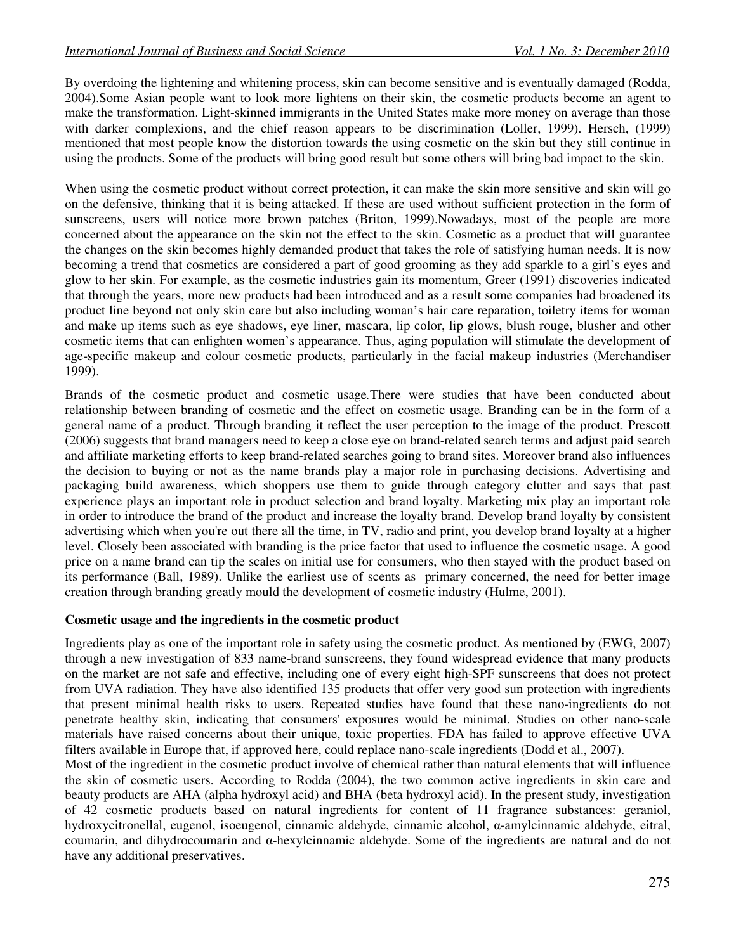By overdoing the lightening and whitening process, skin can become sensitive and is eventually damaged (Rodda, 2004).Some Asian people want to look more lightens on their skin, the cosmetic products become an agent to make the transformation. Light-skinned immigrants in the United States make more money on average than those with darker complexions, and the chief reason appears to be discrimination (Loller, 1999). Hersch, (1999) mentioned that most people know the distortion towards the using cosmetic on the skin but they still continue in using the products. Some of the products will bring good result but some others will bring bad impact to the skin.

When using the cosmetic product without correct protection, it can make the skin more sensitive and skin will go on the defensive, thinking that it is being attacked. If these are used without sufficient protection in the form of sunscreens, users will notice more brown patches (Briton, 1999).Nowadays, most of the people are more concerned about the appearance on the skin not the effect to the skin. Cosmetic as a product that will guarantee the changes on the skin becomes highly demanded product that takes the role of satisfying human needs. It is now becoming a trend that cosmetics are considered a part of good grooming as they add sparkle to a girl's eyes and glow to her skin. For example, as the cosmetic industries gain its momentum, Greer (1991) discoveries indicated that through the years, more new products had been introduced and as a result some companies had broadened its product line beyond not only skin care but also including woman's hair care reparation, toiletry items for woman and make up items such as eye shadows, eye liner, mascara, lip color, lip glows, blush rouge, blusher and other cosmetic items that can enlighten women's appearance. Thus, aging population will stimulate the development of age-specific makeup and colour cosmetic products, particularly in the facial makeup industries (Merchandiser 1999).

Brands of the cosmetic product and cosmetic usage*.*There were studies that have been conducted about relationship between branding of cosmetic and the effect on cosmetic usage. Branding can be in the form of a general name of a product. Through branding it reflect the user perception to the image of the product. Prescott (2006) suggests that brand managers need to keep a close eye on brand-related search terms and adjust paid search and affiliate marketing efforts to keep brand-related searches going to brand sites. Moreover brand also influences the decision to buying or not as the name brands play a major role in purchasing decisions. Advertising and packaging build awareness, which shoppers use them to guide through category clutter and says that past experience plays an important role in product selection and brand loyalty. Marketing mix play an important role in order to introduce the brand of the product and increase the loyalty brand. Develop brand loyalty by consistent advertising which when you're out there all the time, in TV, radio and print, you develop brand loyalty at a higher level. Closely been associated with branding is the price factor that used to influence the cosmetic usage. A good price on a name brand can tip the scales on initial use for consumers, who then stayed with the product based on its performance (Ball, 1989). Unlike the earliest use of scents as primary concerned, the need for better image creation through branding greatly mould the development of cosmetic industry (Hulme, 2001).

#### **Cosmetic usage and the ingredients in the cosmetic product**

Ingredients play as one of the important role in safety using the cosmetic product. As mentioned by (EWG, 2007) through a new investigation of 833 name-brand sunscreens, they found widespread evidence that many products on the market are not safe and effective, including one of every eight high-SPF sunscreens that does not protect from UVA radiation. They have also identified 135 products that offer very good sun protection with ingredients that present minimal health risks to users. Repeated studies have found that these nano-ingredients do not penetrate healthy skin, indicating that consumers' exposures would be minimal. Studies on other nano-scale materials have raised concerns about their unique, toxic properties. FDA has failed to approve effective UVA filters available in Europe that, if approved here, could replace nano-scale ingredients (Dodd et al., 2007).

Most of the ingredient in the cosmetic product involve of chemical rather than natural elements that will influence the skin of cosmetic users. According to Rodda (2004), the two common active ingredients in skin care and beauty products are AHA (alpha hydroxyl acid) and BHA (beta hydroxyl acid). In the present study, investigation of 42 cosmetic products based on natural ingredients for content of 11 fragrance substances: geraniol, hydroxycitronellal, eugenol, isoeugenol, cinnamic aldehyde, cinnamic alcohol, α-amylcinnamic aldehyde, eitral, coumarin, and dihydrocoumarin and α-hexylcinnamic aldehyde. Some of the ingredients are natural and do not have any additional preservatives.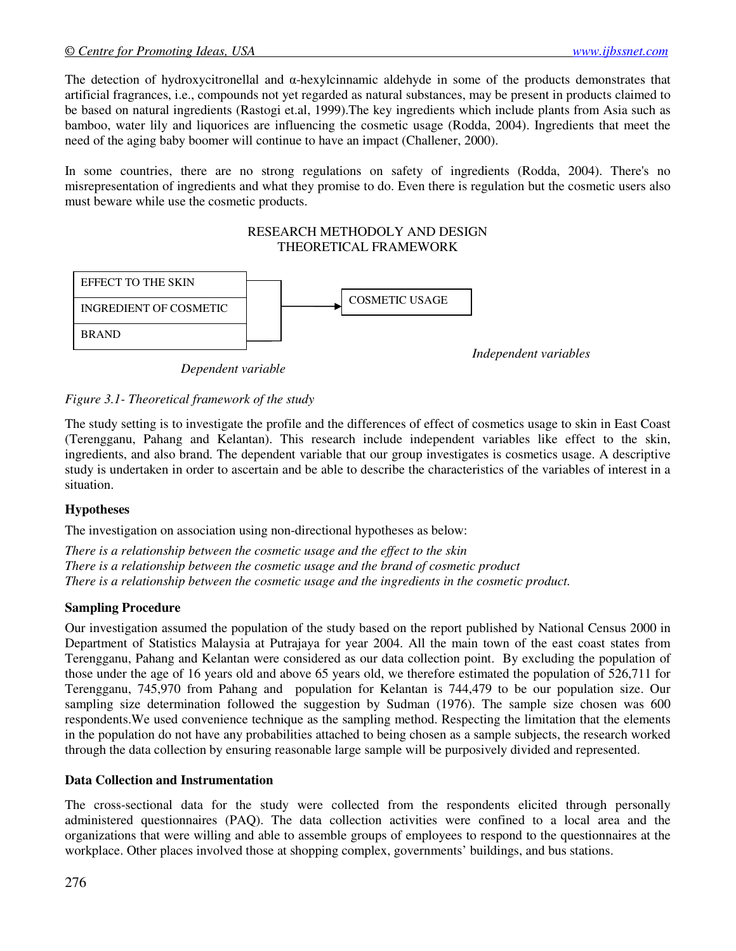The detection of hydroxycitronellal and α-hexylcinnamic aldehyde in some of the products demonstrates that artificial fragrances, i.e., compounds not yet regarded as natural substances, may be present in products claimed to be based on natural ingredients (Rastogi et.al, 1999).The key ingredients which include plants from Asia such as bamboo, water lily and liquorices are influencing the cosmetic usage (Rodda, 2004). Ingredients that meet the need of the aging baby boomer will continue to have an impact (Challener, 2000).

In some countries, there are no strong regulations on safety of ingredients (Rodda, 2004). There's no misrepresentation of ingredients and what they promise to do. Even there is regulation but the cosmetic users also must beware while use the cosmetic products.

#### RESEARCH METHODOLY AND DESIGN THEORETICAL FRAMEWORK



 *Dependent variable* 

*Figure 3.1- Theoretical framework of the study* 

The study setting is to investigate the profile and the differences of effect of cosmetics usage to skin in East Coast (Terengganu, Pahang and Kelantan). This research include independent variables like effect to the skin, ingredients, and also brand. The dependent variable that our group investigates is cosmetics usage. A descriptive study is undertaken in order to ascertain and be able to describe the characteristics of the variables of interest in a situation.

# **Hypotheses**

The investigation on association using non-directional hypotheses as below:

*There is a relationship between the cosmetic usage and the effect to the skin There is a relationship between the cosmetic usage and the brand of cosmetic product There is a relationship between the cosmetic usage and the ingredients in the cosmetic product.* 

# **Sampling Procedure**

Our investigation assumed the population of the study based on the report published by National Census 2000 in Department of Statistics Malaysia at Putrajaya for year 2004. All the main town of the east coast states from Terengganu, Pahang and Kelantan were considered as our data collection point. By excluding the population of those under the age of 16 years old and above 65 years old, we therefore estimated the population of 526,711 for Terengganu, 745,970 from Pahang and population for Kelantan is 744,479 to be our population size. Our sampling size determination followed the suggestion by Sudman (1976). The sample size chosen was 600 respondents.We used convenience technique as the sampling method. Respecting the limitation that the elements in the population do not have any probabilities attached to being chosen as a sample subjects, the research worked through the data collection by ensuring reasonable large sample will be purposively divided and represented.

#### **Data Collection and Instrumentation**

The cross-sectional data for the study were collected from the respondents elicited through personally administered questionnaires (PAQ). The data collection activities were confined to a local area and the organizations that were willing and able to assemble groups of employees to respond to the questionnaires at the workplace. Other places involved those at shopping complex, governments' buildings, and bus stations.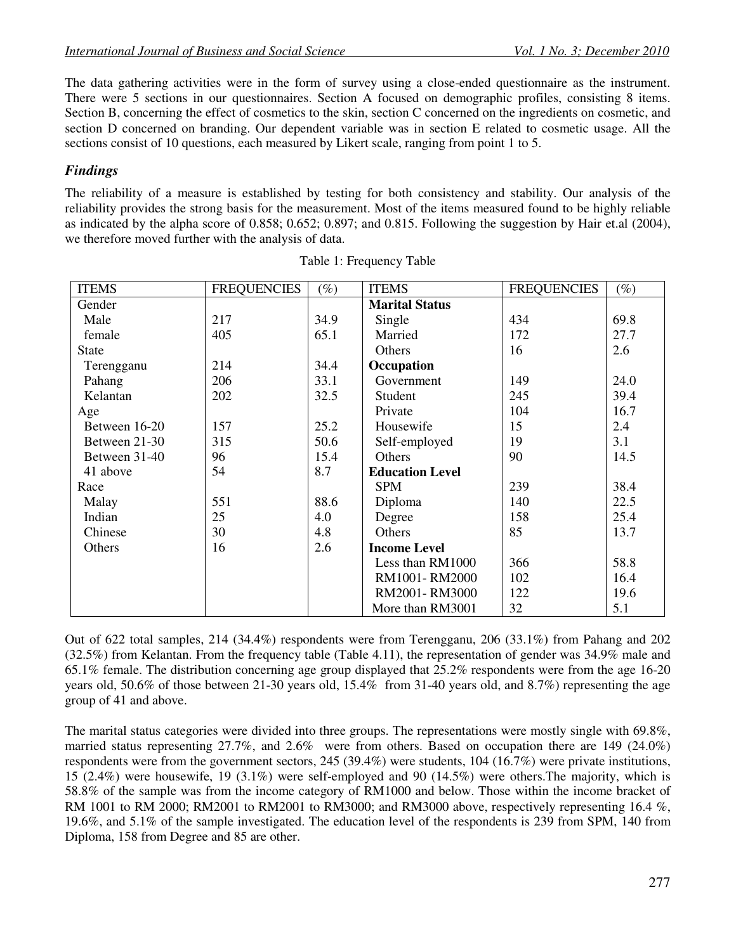The data gathering activities were in the form of survey using a close-ended questionnaire as the instrument. There were 5 sections in our questionnaires. Section A focused on demographic profiles, consisting 8 items. Section B, concerning the effect of cosmetics to the skin, section C concerned on the ingredients on cosmetic, and section D concerned on branding. Our dependent variable was in section E related to cosmetic usage. All the sections consist of 10 questions, each measured by Likert scale, ranging from point 1 to 5.

# *Findings*

The reliability of a measure is established by testing for both consistency and stability. Our analysis of the reliability provides the strong basis for the measurement. Most of the items measured found to be highly reliable as indicated by the alpha score of 0.858; 0.652; 0.897; and 0.815. Following the suggestion by Hair et.al (2004), we therefore moved further with the analysis of data.

| <b>ITEMS</b>  | <b>FREQUENCIES</b> | $(\%)$ | <b>ITEMS</b>           | <b>FREQUENCIES</b> | $(\%)$ |
|---------------|--------------------|--------|------------------------|--------------------|--------|
| Gender        |                    |        | <b>Marital Status</b>  |                    |        |
| Male          | 217                | 34.9   | Single                 | 434                | 69.8   |
| female        | 405                | 65.1   | Married                | 172                | 27.7   |
| <b>State</b>  |                    |        | Others                 | 16                 | 2.6    |
| Terengganu    | 214                | 34.4   | Occupation             |                    |        |
| Pahang        | 206                | 33.1   | Government             | 149                | 24.0   |
| Kelantan      | 202                | 32.5   | Student                | 245                | 39.4   |
| Age           |                    |        | Private                | 104                | 16.7   |
| Between 16-20 | 157                | 25.2   | Housewife              | 15                 | 2.4    |
| Between 21-30 | 315                | 50.6   | Self-employed          | 19                 | 3.1    |
| Between 31-40 | 96                 | 15.4   | Others                 | 90                 | 14.5   |
| 41 above      | 54                 | 8.7    | <b>Education Level</b> |                    |        |
| Race          |                    |        | <b>SPM</b>             | 239                | 38.4   |
| Malay         | 551                | 88.6   | Diploma                | 140                | 22.5   |
| Indian        | 25                 | 4.0    | Degree                 | 158                | 25.4   |
| Chinese       | 30                 | 4.8    | Others                 | 85                 | 13.7   |
| Others        | 16                 | 2.6    | <b>Income Level</b>    |                    |        |
|               |                    |        | Less than RM1000       | 366                | 58.8   |
|               |                    |        | RM1001-RM2000          | 102                | 16.4   |
|               |                    |        | RM2001-RM3000          | 122                | 19.6   |
|               |                    |        | More than RM3001       | 32                 | 5.1    |

Out of 622 total samples, 214 (34.4%) respondents were from Terengganu, 206 (33.1%) from Pahang and 202 (32.5%) from Kelantan. From the frequency table (Table 4.11), the representation of gender was 34.9% male and 65.1% female. The distribution concerning age group displayed that 25.2% respondents were from the age 16-20 years old, 50.6% of those between 21-30 years old, 15.4% from 31-40 years old, and 8.7%) representing the age group of 41 and above.

The marital status categories were divided into three groups. The representations were mostly single with 69.8%, married status representing 27.7%, and 2.6% were from others. Based on occupation there are 149 (24.0%) respondents were from the government sectors, 245 (39.4%) were students, 104 (16.7%) were private institutions, 15 (2.4%) were housewife, 19 (3.1%) were self-employed and 90 (14.5%) were others.The majority, which is 58.8% of the sample was from the income category of RM1000 and below. Those within the income bracket of RM 1001 to RM 2000; RM2001 to RM2001 to RM3000; and RM3000 above, respectively representing 16.4 %, 19.6%, and 5.1% of the sample investigated. The education level of the respondents is 239 from SPM, 140 from Diploma, 158 from Degree and 85 are other.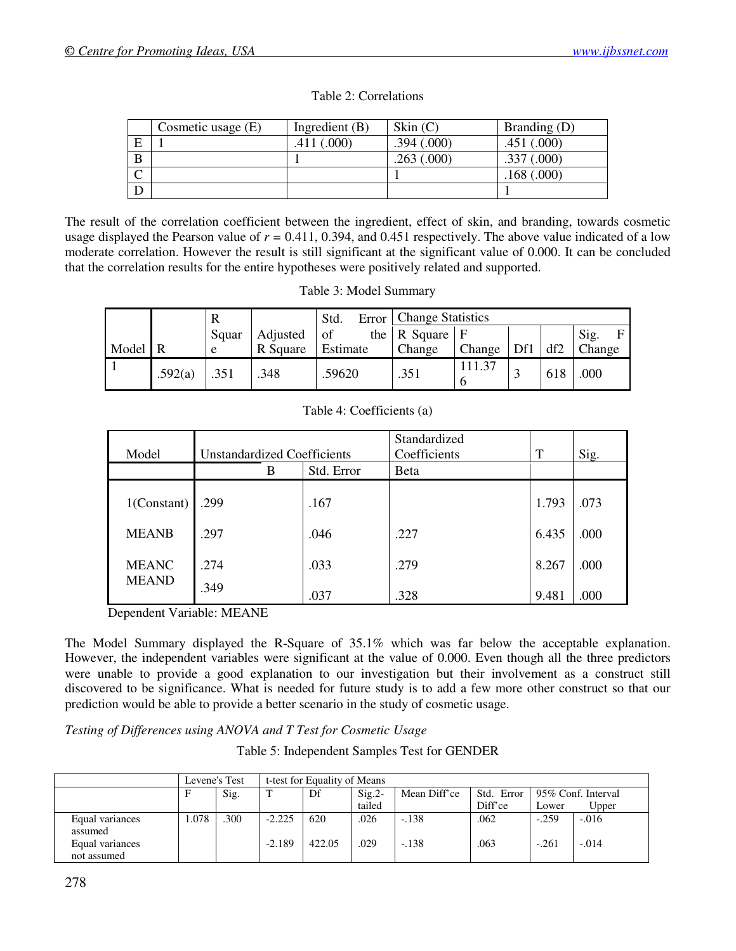|        | Cosmetic usage (E) | Ingredient $(B)$ | Skin $(C)$ | Branding (D) |
|--------|--------------------|------------------|------------|--------------|
| E      |                    | .411 (.000)      | .394(.000) | .451(.000)   |
| B      |                    |                  | .263(.000) | .337(.000)   |
| ⌒<br>◡ |                    |                  |            | 168(.000)    |
|        |                    |                  |            |              |

Table 2: Correlations

The result of the correlation coefficient between the ingredient, effect of skin, and branding, towards cosmetic usage displayed the Pearson value of *r =* 0.411, 0.394, and 0.451 respectively. The above value indicated of a low moderate correlation. However the result is still significant at the significant value of 0.000. It can be concluded that the correlation results for the entire hypotheses were positively related and supported.

| Table 3: Model Summary |  |
|------------------------|--|
|------------------------|--|

|       |         |       |          | Std.     | Error   Change Statistics      |        |     |     |           |
|-------|---------|-------|----------|----------|--------------------------------|--------|-----|-----|-----------|
|       |         | Squar | Adjusted | of       | the $\vert$ R Square $\vert$ F |        |     |     | Sig.<br>F |
| Model |         | e     | R Square | Estimate | Change                         | Change | Df1 | df2 | Change    |
|       | .592(a) | .351  | .348     | .59620   | .351                           |        |     | 618 | .000      |

| Model                        | <b>Unstandardized Coefficients</b> |            | Standardized<br>Coefficients | T     | Sig. |
|------------------------------|------------------------------------|------------|------------------------------|-------|------|
|                              | B                                  | Std. Error | <b>B</b> eta                 |       |      |
| $1$ (Constant)               | .299                               | .167       |                              | 1.793 | .073 |
| <b>MEANB</b>                 | .297                               | .046       | .227                         | 6.435 | .000 |
| <b>MEANC</b><br><b>MEAND</b> | .274                               | .033       | .279                         | 8.267 | .000 |
|                              | .349                               | .037       | .328                         | 9.481 | .000 |

Dependent Variable: MEANE

The Model Summary displayed the R-Square of 35.1% which was far below the acceptable explanation. However, the independent variables were significant at the value of 0.000. Even though all the three predictors were unable to provide a good explanation to our investigation but their involvement as a construct still discovered to be significance. What is needed for future study is to add a few more other construct so that our prediction would be able to provide a better scenario in the study of cosmetic usage.

*Testing of Differences using ANOVA and T Test for Cosmetic Usage*

Table 5: Independent Samples Test for GENDER

|                                |       | Levene's Test |          | t-test for Equality of Means |          |              |            |         |                    |
|--------------------------------|-------|---------------|----------|------------------------------|----------|--------------|------------|---------|--------------------|
|                                |       | Sig.          |          | Df                           | $Sig.2-$ | Mean Diff'ce | Std. Error |         | 95% Conf. Interval |
|                                |       |               |          |                              | tailed   |              | Diff'ce    | Lower   | Upper              |
| Equal variances<br>assumed     | 1.078 | .300          | $-2.225$ | 620                          | .026     | $-.138$      | .062       | $-.259$ | $-.016$            |
| Equal variances<br>not assumed |       |               | $-2.189$ | 422.05                       | .029     | $-.138$      | .063       | $-.261$ | $-.014$            |

#### Table 4: Coefficients (a)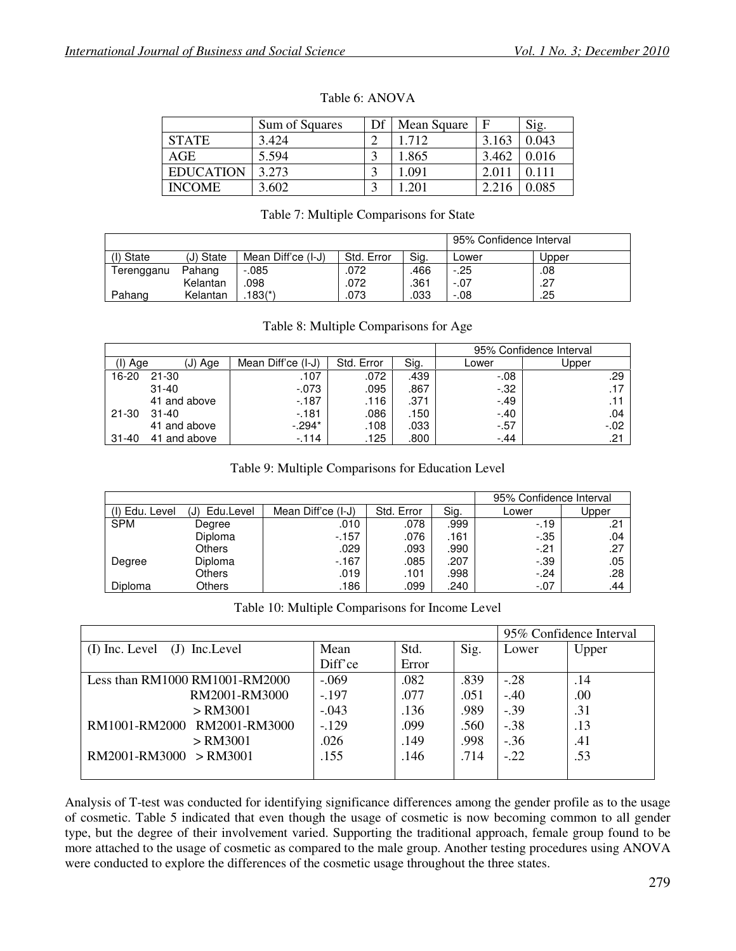|                  | Sum of Squares |           | Mean Square | F     | Sig.  |
|------------------|----------------|-----------|-------------|-------|-------|
| <b>STATE</b>     | 3.424          | ◠         | .712        | 3.163 | 0.043 |
| AGE              | 5.594          |           | .865        | 3.462 | 0.016 |
| <b>EDUCATION</b> | 3.273          | ◠         | .091        |       |       |
| <b>INCOME</b>    | .602           | $\bigcap$ |             |       | ).085 |

#### Table 6: ANOVA

#### Table 7: Multiple Comparisons for State

|            |           | 95% Confidence Interval |            |      |         |       |
|------------|-----------|-------------------------|------------|------|---------|-------|
| (I) State  | (J) State | Mean Diff'ce (I-J)      | Std. Error | Sig. | ∟ower   | Upper |
| Terengganu | Pahang    | $-0.085$                | .072       | .466 | $-25$   | .08   |
|            | Kelantan  | 098                     | .072       | .361 | $-.07$  | .27   |
| Pahang     | Kelantan  | $.183(*)$               | .073       | .033 | $-0.08$ | .25   |

|           |              |                    |            |      |         | 95% Confidence Interval |
|-----------|--------------|--------------------|------------|------|---------|-------------------------|
|           |              |                    |            |      |         |                         |
| (I) Age   | (J) Age      | Mean Diff'ce (I-J) | Std. Error | Sig. | Lower   | Jpper                   |
| 16-20     | $21 - 30$    | .107               | .072       | .439 | $-0.08$ | .29                     |
|           | $31 - 40$    | $-0.073$           | .095       | .867 | $-.32$  | .17                     |
|           | 41 and above | $-187$             | .116       | .371 | $-.49$  | .11                     |
| 21-30     | 31-40        | $-181$             | .086       | .150 | $-.40$  | .04                     |
|           | 41 and above | $-.294*$           | .108       | .033 | $-57$   | $-.02$                  |
| $31 - 40$ | 41 and above | $-114$             | .125       | .800 | $-.44$  | .21                     |

#### Table 8: Multiple Comparisons for Age

|  | Table 9: Multiple Comparisons for Education Level |
|--|---------------------------------------------------|
|  |                                                   |

|                |                  | 95% Confidence Interval |            |      |         |       |
|----------------|------------------|-------------------------|------------|------|---------|-------|
| (I) Edu. Level | Edu.Level<br>(J) | Mean Diff'ce (I-J)      | Std. Error | Sig. | Lower   | Upper |
| <b>SPM</b>     | Degree           | .010                    | .078       | .999 | $-19$   | .21   |
|                | Diploma          | $-157$                  | .076       | .161 | $-35$   | .04   |
|                | <b>Others</b>    | .029                    | .093       | .990 | $-.21$  | .27   |
| Degree         | Diploma          | $-167$                  | .085       | .207 | $-0.39$ | .05   |
|                | <b>Others</b>    | .019                    | .101       | .998 | $-.24$  | .28   |
| <b>Diploma</b> | <b>Others</b>    | .186                    | .099       | .240 | $-.07$  | .44   |

|  | Table 10: Multiple Comparisons for Income Level |  |  |
|--|-------------------------------------------------|--|--|
|  |                                                 |  |  |

|                                   | 95% Confidence Interval |       |      |        |       |
|-----------------------------------|-------------------------|-------|------|--------|-------|
| $(I)$ Inc. Level $(J)$ Inc. Level | Mean                    | Std.  | Sig. | Lower  | Upper |
|                                   | Diff'ce                 | Error |      |        |       |
| Less than RM1000 RM1001-RM2000    | $-.069$                 | .082  | .839 | $-.28$ | .14   |
| RM2001-RM3000                     | $-.197$                 | .077  | .051 | $-.40$ | .00   |
| $>$ RM3001                        | $-.043$                 | .136  | .989 | $-.39$ | .31   |
| RM1001-RM2000 RM2001-RM3000       | $-129$                  | .099  | .560 | $-.38$ | .13   |
| $>$ RM3001                        | .026                    | .149  | .998 | $-.36$ | .41   |
| $RM2001-RM3000 > RM3001$          | .155                    | .146  | .714 | $-.22$ | .53   |
|                                   |                         |       |      |        |       |

Analysis of T-test was conducted for identifying significance differences among the gender profile as to the usage of cosmetic. Table 5 indicated that even though the usage of cosmetic is now becoming common to all gender type, but the degree of their involvement varied. Supporting the traditional approach, female group found to be more attached to the usage of cosmetic as compared to the male group. Another testing procedures using ANOVA were conducted to explore the differences of the cosmetic usage throughout the three states.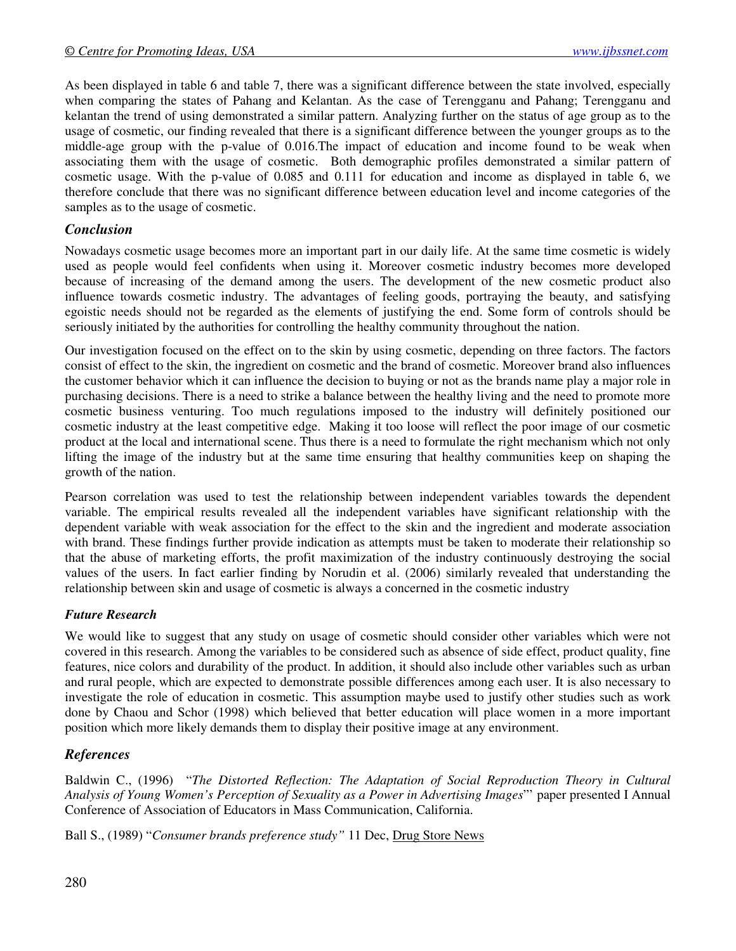As been displayed in table 6 and table 7, there was a significant difference between the state involved, especially when comparing the states of Pahang and Kelantan. As the case of Terengganu and Pahang; Terengganu and kelantan the trend of using demonstrated a similar pattern. Analyzing further on the status of age group as to the usage of cosmetic, our finding revealed that there is a significant difference between the younger groups as to the middle-age group with the p-value of 0.016.The impact of education and income found to be weak when associating them with the usage of cosmetic. Both demographic profiles demonstrated a similar pattern of cosmetic usage. With the p-value of 0.085 and 0.111 for education and income as displayed in table 6, we therefore conclude that there was no significant difference between education level and income categories of the samples as to the usage of cosmetic.

# *Conclusion*

Nowadays cosmetic usage becomes more an important part in our daily life. At the same time cosmetic is widely used as people would feel confidents when using it. Moreover cosmetic industry becomes more developed because of increasing of the demand among the users. The development of the new cosmetic product also influence towards cosmetic industry. The advantages of feeling goods, portraying the beauty, and satisfying egoistic needs should not be regarded as the elements of justifying the end. Some form of controls should be seriously initiated by the authorities for controlling the healthy community throughout the nation.

Our investigation focused on the effect on to the skin by using cosmetic, depending on three factors. The factors consist of effect to the skin, the ingredient on cosmetic and the brand of cosmetic. Moreover brand also influences the customer behavior which it can influence the decision to buying or not as the brands name play a major role in purchasing decisions. There is a need to strike a balance between the healthy living and the need to promote more cosmetic business venturing. Too much regulations imposed to the industry will definitely positioned our cosmetic industry at the least competitive edge. Making it too loose will reflect the poor image of our cosmetic product at the local and international scene. Thus there is a need to formulate the right mechanism which not only lifting the image of the industry but at the same time ensuring that healthy communities keep on shaping the growth of the nation.

Pearson correlation was used to test the relationship between independent variables towards the dependent variable. The empirical results revealed all the independent variables have significant relationship with the dependent variable with weak association for the effect to the skin and the ingredient and moderate association with brand. These findings further provide indication as attempts must be taken to moderate their relationship so that the abuse of marketing efforts, the profit maximization of the industry continuously destroying the social values of the users. In fact earlier finding by Norudin et al. (2006) similarly revealed that understanding the relationship between skin and usage of cosmetic is always a concerned in the cosmetic industry

# *Future Research*

We would like to suggest that any study on usage of cosmetic should consider other variables which were not covered in this research. Among the variables to be considered such as absence of side effect, product quality, fine features, nice colors and durability of the product. In addition, it should also include other variables such as urban and rural people, which are expected to demonstrate possible differences among each user. It is also necessary to investigate the role of education in cosmetic. This assumption maybe used to justify other studies such as work done by Chaou and Schor (1998) which believed that better education will place women in a more important position which more likely demands them to display their positive image at any environment.

# *References*

Baldwin C., (1996) "*The Distorted Reflection: The Adaptation of Social Reproduction Theory in Cultural Analysis of Young Women's Perception of Sexuality as a Power in Advertising Images*"' paper presented I Annual Conference of Association of Educators in Mass Communication, California.

Ball S., (1989) "*Consumer brands preference study"* 11 Dec, Drug Store News